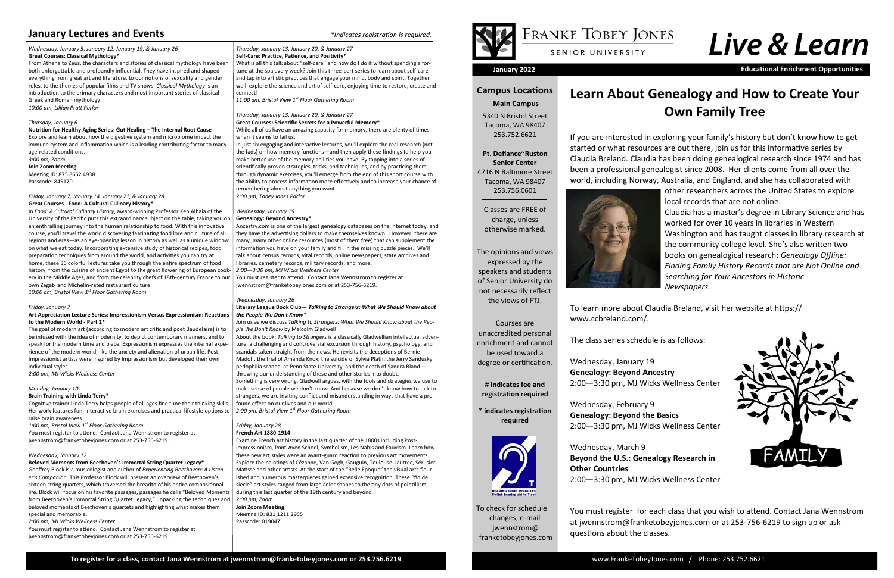To check for schedule changes, e-mail jwennstrom@ franketobeyjones.com

## **Campus Locations**

 **Main Campus**

5340 N Bristol Street Tacoma, WA 98407 253.752.6621

**Pt. Defiance~Ruston Senior Center** 4716 N Baltimore Street Tacoma, WA 98407 253.756.0601

Classes are FREE of charge, unless otherwise marked.

The opinions and views expressed by the speakers and students of Senior University do not necessarily reflect the views of FTJ.

Courses are unaccredited personal enrichment and cannot be used toward a degree or certification.

**# indicates fee and registration required**

**\* indicates registration required**



**January 2022 Educational Enrichment Opportunities**

## **January Lectures and Events** *image 10 in the sequired. \*Indicates registration is required.*

#### *Wednesday, January 5, January 12, January 19, & January 26* **Great Courses: Classical Mythology\***

From Athena to Zeus, the characters and stories of classical mythology have been both unforgettable and profoundly influential. They have inspired and shaped everything from great art and literature, to our notions of sexuality and gender roles, to the themes of popular films and TV shows. *Classical Mythology* is an introduction to the primary characters and most important stories of classical Greek and Roman mythology.

### *10:00 am, Lillian Pratt Parlor*

#### *Thursday, January 6*

#### **Nutrition for Healthy Aging Series: Gut Healing – The Internal Root Cause**

Explore and learn about how the digestive system and microbiome impact the immune system and inflammation which is a leading contributing factor to many age-related conditions.

*3:00 pm, Zoom* **Join Zoom Meeting** Meeting ID: 875 8652 4938 Passcode: 845170

#### *Friday, January 7, January 14, January 21, & January 28* **Great Courses - Food: A Cultural Culinary History\***

In *Food: A Cultural Culinary History*, award-winning Professor Ken Albala of the University of the Pacific puts this extraordinary subject on the table, taking you on an enthralling journey into the human relationship to food. With this innovative course, you'll travel the world discovering fascinating food lore and culture of all regions and eras—as an eye-opening lesson in history as well as a unique window on what we eat today. Incorporating extensive study of historical recipes, food preparation techniques from around the world, and activities you can try at home, these 36 colorful lectures take you through the entire spectrum of food history, from the cuisine of ancient Egypt to the great flowering of European cookery in the Middle Ages, and from the celebrity chefs of 18th-century France to our own Zagat- and Michelin-rated restaurant culture.

What is all this talk about "self-care" and how do I do it without spending a fortune at the spa every week? Join this three-part series to learn about self-care and tap into artistic practices that engage your mind, body and spirit. Together we'll explore the science and art of self-care, enjoying time to restore, create and

*10:00 am, Bristol View 1st Floor Gathering Room*

#### *Friday, January 7*

#### **Art Appreciation Lecture Series: Impressionism Versus Expressionism: Reactions to the Modern World - Part 2\***

The goal of modern art (according to modern art critic and poet Baudelaire) is to be infused with the idea of modernity, to depict contemporary manners, and to speak for the modern time and place. Expressionism expresses the internal experience of the modern world, like the anxiety and alienation of urban life. Post-Impressionist artists were inspired by Impressionism but developed their own individual styles.

*2:00 pm, MJ Wicks Wellness Center* 

#### *Monday, January 10*

#### **Brain Training with Linda Terry\***

Cognitive trainer Linda Terry helps people of all ages fine tune their thinking skills. Her work features fun, interactive brain exercises and practical lifestyle options to raise brain awareness.

*1:00 pm, Bristol View 1st Floor Gathering Room*

You must register to attend. Contact Jana Wennstrom to register at jwennstrom@franketobeyjones.com or at 253-756-6219.

#### *Wednesday, January 12*

#### **Beloved Moments from Beethoven's Immortal String Quartet Legacy\***

*2:00 pm, MJ Wicks Wellness Center*

You must register to attend. Contact Jana Wennstrom to register at jwennstrom@franketobeyjones.com or at 253-756-6219.

*Thursday, January 13, January 20, & January 27* **Self-Care: Practice, Patience, and Positivity\***

connect!

*11:00 am, Bristol View 1st Floor Gathering Room*

*Thursday, January 13, January 20, & January 27* **Great Courses: Scientific Secrets for a Powerful Memory\***

While all of us have an amazing capacity for memory, there are plenty of times

when it seems to fail us.

In just six engaging and interactive lectures, you'll explore the real research (not the fads) on how memory functions—and then apply these findings to help you make better use of the memory abilities you have. By tapping into a series of scientifically proven strategies, tricks, and techniques, and by practicing them through dynamic exercises, you'll emerge from the end of this short course with the ability to process information more effectively and to increase your chance of

remembering almost anything you want.

*2:00 pm, Tobey Jones Parlor* 

*Wednesday, January 19* **Genealogy: Beyond Ancestry\***

Geoffrey Block is a musicologist and author of *Experiencing Beethoven: A Listener's Companion*. This Professor Block will present an overview of Beethoven's sixteen string quartets, which traversed the breadth of his entire compositional life. Block will focus on his favorite passages, passages he calls "Beloved Moments from Beethoven's Immortal String Quartet Legacy," unpacking the techniques and beloved moments of Beethoven's quartets and highlighting what makes them special and memorable. *2:00 pm, Zoom* 

Ancestry.com is one of the largest genealogy databases on the internet today, and they have the advertising dollars to make themselves known. However, there are many, many other online resources (most of them free) that can supplement the information you have on your family and fill in the missing puzzle pieces. We'll talk about census records, vital records, online newspapers, state archives and

libraries, cemetery records, military records, and more.

*2:00—3:30 pm, MJ Wicks Wellness Center*

You must register to attend. Contact Jana Wennstrom to register at

jwennstrom@franketobeyjones.com or at 253-756-6219.

*Wednesday, January 26*

**Literary League Book Club—** *Talking to Strangers: What We Should Know about* 

*the People We Don't Know\**

Join us as we discuss *Talking to Strangers: What We Should Know about the Peo-*

*ple We Don't Know* by Malcolm Gladwell

About the book: *Talking to Strangers* is a classically Gladwellian intellectual adventure, a challenging and controversial excursion through history, psychology, and scandals taken straight from the news. He revisits the deceptions of Bernie Madoff, the trial of Amanda Knox, the suicide of Sylvia Plath, the Jerry Sandusky pedophilia scandal at Penn State University, and the death of Sandra Bland—

throwing our understanding of these and other stories into doubt.

Something is very wrong, Gladwell argues, with the tools and strategies we use to make sense of people we don't know. And because we don't know how to talk to strangers, we are inviting conflict and misunderstanding in ways that have a pro-

found effect on our lives and our world. *2:00 pm, Bristol View 1st Floor Gathering Room*

*Friday, January 28* **French Art 1880-1914** 

Examine French art history in the last quarter of the 1800s including Post-Impressionism, Pont-Aven School, Symbolism, Les Nabis and Fauvism. Learn how these new art styles were an avant-guard reaction to previous art movements. Explore the paintings of Cézanne, Van Gogh, Gauguin, Toulouse-Lautrec, Sérusier, Matisse and other artists. At the start of the "Belle Époque" the visual arts flourished and numerous masterpieces gained extensive recognition. These "fin de siècle" art styles ranged from large color shapes to the tiny dots of pointillism,

during this last quarter of the 19th century and beyond.



## FRANKE TOBEY JONES SENIOR UNIVERSITY

**Join Zoom Meeting** Meeting ID: 831 1211 2955 Passcode: 019047



## **Learn About Genealogy and How to Create Your Own Family Tree**

If you are interested in exploring your family's history but don't know how to get started or what resources are out there, join us for this informative series by Claudia Breland. Claudia has been doing genealogical research since 1974 and has been a professional genealogist since 2008. Her clients come from all over the world, including Norway, Australia, and England, and she has collaborated with



other researchers across the United States to explore local records that are not online. Claudia has a master's degree in Library Science and has

worked for over 10 years in libraries in Western Washington and has taught classes in library research at the community college level. She's also written two books on genealogical research: *Genealogy Offline: Finding Family History Records that are Not Online and Searching for Your Ancestors in Historic Newspapers.* 

To learn more about Claudia Breland, visit her website at https://



www.ccbreland.com/.

The class series schedule is as follows:

Wednesday, January 19 **Genealogy: Beyond Ancestry** 2:00—3:30 pm, MJ Wicks Wellness Center

Wednesday, February 9 **Genealogy: Beyond the Basics** 2:00—3:30 pm, MJ Wicks Wellness Center

Wednesday, March 9 **Beyond the U.S.: Genealogy Research in Other Countries** 2:00—3:30 pm, MJ Wicks Wellness Center

You must register for each class that you wish to attend. Contact Jana Wennstrom at jwennstrom@franketobeyjones.com or at 253-756-6219 to sign up or ask questions about the classes.